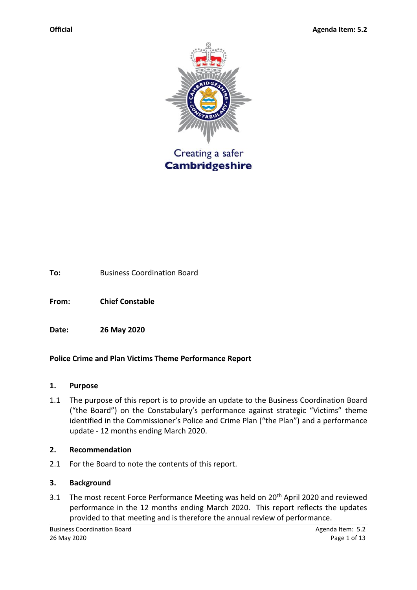

**To:** Business Coordination Board

**From: Chief Constable** 

**Date: 26 May 2020**

# **Police Crime and Plan Victims Theme Performance Report**

#### **1. Purpose**

1.1 The purpose of this report is to provide an update to the Business Coordination Board ("the Board") on the Constabulary's performance against strategic "Victims" theme identified in the Commissioner's Police and Crime Plan ("the Plan") and a performance update - 12 months ending March 2020.

#### **2. Recommendation**

2.1 For the Board to note the contents of this report.

#### **3. Background**

3.1 The most recent Force Performance Meeting was held on 20<sup>th</sup> April 2020 and reviewed performance in the 12 months ending March 2020. This report reflects the updates provided to that meeting and is therefore the annual review of performance.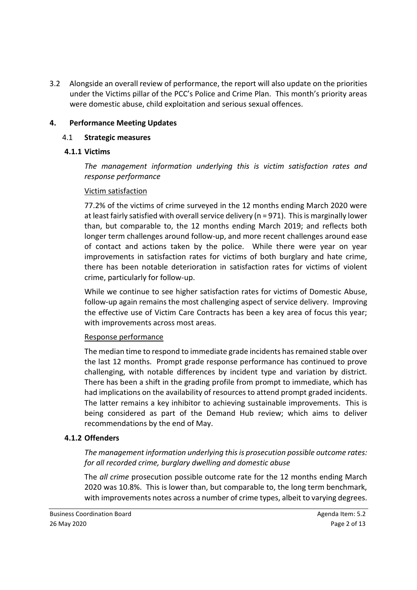3.2 Alongside an overall review of performance, the report will also update on the priorities under the Victims pillar of the PCC's Police and Crime Plan. This month's priority areas were domestic abuse, child exploitation and serious sexual offences.

### **4. Performance Meeting Updates**

#### 4.1 **Strategic measures**

#### **4.1.1 Victims**

*The management information underlying this is victim satisfaction rates and response performance*

#### Victim satisfaction

77.2% of the victims of crime surveyed in the 12 months ending March 2020 were at least fairly satisfied with overall service delivery (n = 971). This is marginally lower than, but comparable to, the 12 months ending March 2019; and reflects both longer term challenges around follow-up, and more recent challenges around ease of contact and actions taken by the police. While there were year on year improvements in satisfaction rates for victims of both burglary and hate crime, there has been notable deterioration in satisfaction rates for victims of violent crime, particularly for follow-up.

While we continue to see higher satisfaction rates for victims of Domestic Abuse, follow-up again remains the most challenging aspect of service delivery. Improving the effective use of Victim Care Contracts has been a key area of focus this year; with improvements across most areas.

#### Response performance

The median time to respond to immediate grade incidents has remained stable over the last 12 months. Prompt grade response performance has continued to prove challenging, with notable differences by incident type and variation by district. There has been a shift in the grading profile from prompt to immediate, which has had implications on the availability of resources to attend prompt graded incidents. The latter remains a key inhibitor to achieving sustainable improvements. This is being considered as part of the Demand Hub review; which aims to deliver recommendations by the end of May.

#### **4.1.2 Offenders**

*The management information underlying this is prosecution possible outcome rates: for all recorded crime, burglary dwelling and domestic abuse*

The *all crime* prosecution possible outcome rate for the 12 months ending March 2020 was 10.8%. This is lower than, but comparable to, the long term benchmark, with improvements notes across a number of crime types, albeit to varying degrees.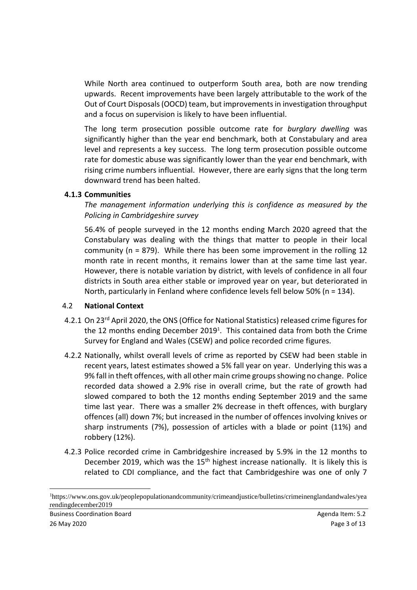While North area continued to outperform South area, both are now trending upwards. Recent improvements have been largely attributable to the work of the Out of Court Disposals (OOCD) team, but improvements in investigation throughput and a focus on supervision is likely to have been influential.

The long term prosecution possible outcome rate for *burglary dwelling* was significantly higher than the year end benchmark, both at Constabulary and area level and represents a key success. The long term prosecution possible outcome rate for domestic abuse was significantly lower than the year end benchmark, with rising crime numbers influential. However, there are early signs that the long term downward trend has been halted.

### **4.1.3 Communities**

*The management information underlying this is confidence as measured by the Policing in Cambridgeshire survey*

56.4% of people surveyed in the 12 months ending March 2020 agreed that the Constabulary was dealing with the things that matter to people in their local community (n = 879). While there has been some improvement in the rolling 12 month rate in recent months, it remains lower than at the same time last year. However, there is notable variation by district, with levels of confidence in all four districts in South area either stable or improved year on year, but deteriorated in North, particularly in Fenland where confidence levels fell below 50% (n = 134).

# 4.2 **National Context**

- 4.2.1 On 23rd April 2020, the ONS (Office for National Statistics) released crime figures for the 12 months ending December 2019<sup>1</sup>. This contained data from both the Crime Survey for England and Wales (CSEW) and police recorded crime figures.
- 4.2.2 Nationally, whilst overall levels of crime as reported by CSEW had been stable in recent years, latest estimates showed a 5% fall year on year. Underlying this was a 9% fall in theft offences, with all other main crime groups showing no change. Police recorded data showed a 2.9% rise in overall crime, but the rate of growth had slowed compared to both the 12 months ending September 2019 and the same time last year. There was a smaller 2% decrease in theft offences, with burglary offences (all) down 7%; but increased in the number of offences involving knives or sharp instruments (7%), possession of articles with a blade or point (11%) and robbery (12%).
- 4.2.3 Police recorded crime in Cambridgeshire increased by 5.9% in the 12 months to December 2019, which was the  $15<sup>th</sup>$  highest increase nationally. It is likely this is related to CDI compliance, and the fact that Cambridgeshire was one of only 7

 $\overline{\phantom{a}}$ 

<sup>1</sup>https://www.ons.gov.uk/peoplepopulationandcommunity/crimeandjustice/bulletins/crimeinenglandandwales/yea rendingdecember2019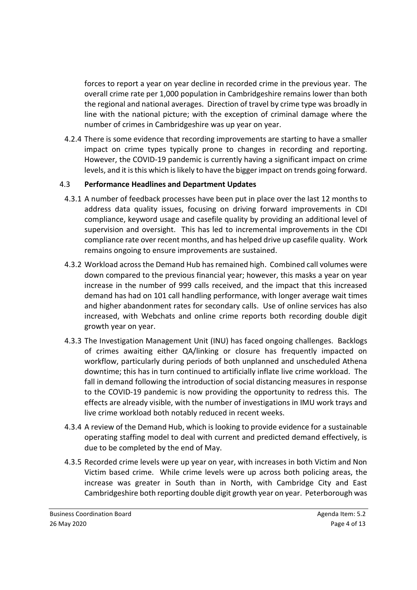forces to report a year on year decline in recorded crime in the previous year. The overall crime rate per 1,000 population in Cambridgeshire remains lower than both the regional and national averages. Direction of travel by crime type was broadly in line with the national picture; with the exception of criminal damage where the number of crimes in Cambridgeshire was up year on year.

4.2.4 There is some evidence that recording improvements are starting to have a smaller impact on crime types typically prone to changes in recording and reporting. However, the COVID-19 pandemic is currently having a significant impact on crime levels, and it is this which is likely to have the bigger impact on trends going forward.

### 4.3 **Performance Headlines and Department Updates**

- 4.3.1 A number of feedback processes have been put in place over the last 12 months to address data quality issues, focusing on driving forward improvements in CDI compliance, keyword usage and casefile quality by providing an additional level of supervision and oversight. This has led to incremental improvements in the CDI compliance rate over recent months, and has helped drive up casefile quality. Work remains ongoing to ensure improvements are sustained.
- 4.3.2 Workload across the Demand Hub has remained high. Combined call volumes were down compared to the previous financial year; however, this masks a year on year increase in the number of 999 calls received, and the impact that this increased demand has had on 101 call handling performance, with longer average wait times and higher abandonment rates for secondary calls. Use of online services has also increased, with Webchats and online crime reports both recording double digit growth year on year.
- 4.3.3 The Investigation Management Unit (INU) has faced ongoing challenges. Backlogs of crimes awaiting either QA/linking or closure has frequently impacted on workflow, particularly during periods of both unplanned and unscheduled Athena downtime; this has in turn continued to artificially inflate live crime workload. The fall in demand following the introduction of social distancing measures in response to the COVID-19 pandemic is now providing the opportunity to redress this. The effects are already visible, with the number of investigations in IMU work trays and live crime workload both notably reduced in recent weeks.
- 4.3.4 A review of the Demand Hub, which is looking to provide evidence for a sustainable operating staffing model to deal with current and predicted demand effectively, is due to be completed by the end of May.
- 4.3.5 Recorded crime levels were up year on year, with increases in both Victim and Non Victim based crime. While crime levels were up across both policing areas, the increase was greater in South than in North, with Cambridge City and East Cambridgeshire both reporting double digit growth year on year. Peterborough was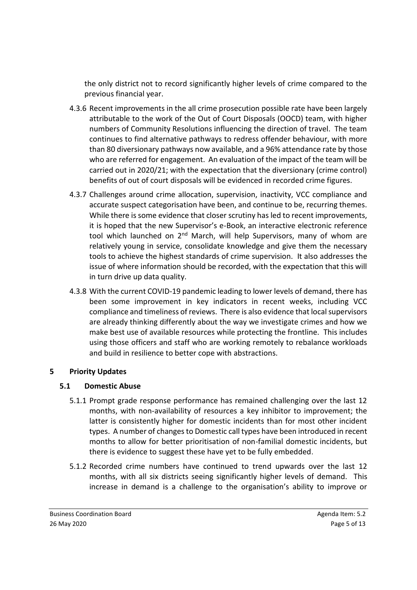the only district not to record significantly higher levels of crime compared to the previous financial year.

- 4.3.6 Recent improvements in the all crime prosecution possible rate have been largely attributable to the work of the Out of Court Disposals (OOCD) team, with higher numbers of Community Resolutions influencing the direction of travel. The team continues to find alternative pathways to redress offender behaviour, with more than 80 diversionary pathways now available, and a 96% attendance rate by those who are referred for engagement. An evaluation of the impact of the team will be carried out in 2020/21; with the expectation that the diversionary (crime control) benefits of out of court disposals will be evidenced in recorded crime figures.
- 4.3.7 Challenges around crime allocation, supervision, inactivity, VCC compliance and accurate suspect categorisation have been, and continue to be, recurring themes. While there is some evidence that closer scrutiny has led to recent improvements, it is hoped that the new Supervisor's e-Book, an interactive electronic reference tool which launched on 2<sup>nd</sup> March, will help Supervisors, many of whom are relatively young in service, consolidate knowledge and give them the necessary tools to achieve the highest standards of crime supervision. It also addresses the issue of where information should be recorded, with the expectation that this will in turn drive up data quality.
- 4.3.8 With the current COVID-19 pandemic leading to lower levels of demand, there has been some improvement in key indicators in recent weeks, including VCC compliance and timeliness of reviews. There is also evidence that local supervisors are already thinking differently about the way we investigate crimes and how we make best use of available resources while protecting the frontline. This includes using those officers and staff who are working remotely to rebalance workloads and build in resilience to better cope with abstractions.

# **5 Priority Updates**

# **5.1 Domestic Abuse**

- 5.1.1 Prompt grade response performance has remained challenging over the last 12 months, with non-availability of resources a key inhibitor to improvement; the latter is consistently higher for domestic incidents than for most other incident types. A number of changes to Domestic call types have been introduced in recent months to allow for better prioritisation of non-familial domestic incidents, but there is evidence to suggest these have yet to be fully embedded.
- 5.1.2 Recorded crime numbers have continued to trend upwards over the last 12 months, with all six districts seeing significantly higher levels of demand. This increase in demand is a challenge to the organisation's ability to improve or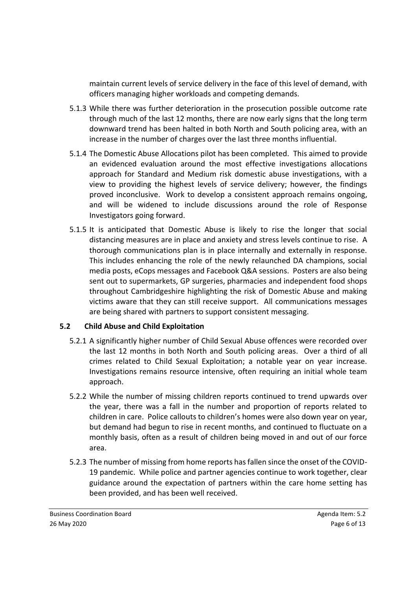maintain current levels of service delivery in the face of this level of demand, with officers managing higher workloads and competing demands.

- 5.1.3 While there was further deterioration in the prosecution possible outcome rate through much of the last 12 months, there are now early signs that the long term downward trend has been halted in both North and South policing area, with an increase in the number of charges over the last three months influential.
- 5.1.4 The Domestic Abuse Allocations pilot has been completed. This aimed to provide an evidenced evaluation around the most effective investigations allocations approach for Standard and Medium risk domestic abuse investigations, with a view to providing the highest levels of service delivery; however, the findings proved inconclusive. Work to develop a consistent approach remains ongoing, and will be widened to include discussions around the role of Response Investigators going forward.
- 5.1.5 It is anticipated that Domestic Abuse is likely to rise the longer that social distancing measures are in place and anxiety and stress levels continue to rise. A thorough communications plan is in place internally and externally in response. This includes enhancing the role of the newly relaunched DA champions, social media posts, eCops messages and Facebook Q&A sessions. Posters are also being sent out to supermarkets, GP surgeries, pharmacies and independent food shops throughout Cambridgeshire highlighting the risk of Domestic Abuse and making victims aware that they can still receive support. All communications messages are being shared with partners to support consistent messaging.

# **5.2 Child Abuse and Child Exploitation**

- 5.2.1 A significantly higher number of Child Sexual Abuse offences were recorded over the last 12 months in both North and South policing areas. Over a third of all crimes related to Child Sexual Exploitation; a notable year on year increase. Investigations remains resource intensive, often requiring an initial whole team approach.
- 5.2.2 While the number of missing children reports continued to trend upwards over the year, there was a fall in the number and proportion of reports related to children in care. Police callouts to children's homes were also down year on year, but demand had begun to rise in recent months, and continued to fluctuate on a monthly basis, often as a result of children being moved in and out of our force area.
- 5.2.3 The number of missing from home reports has fallen since the onset of the COVID-19 pandemic. While police and partner agencies continue to work together, clear guidance around the expectation of partners within the care home setting has been provided, and has been well received.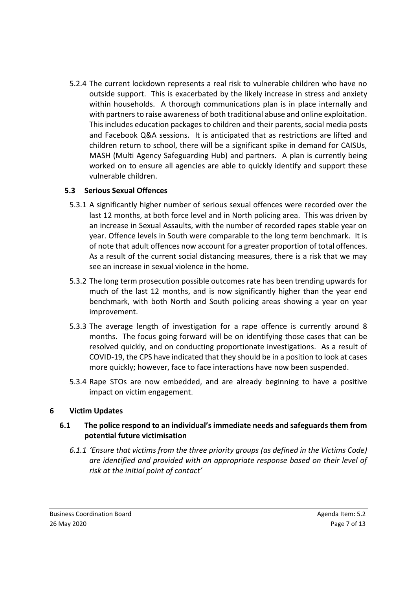5.2.4 The current lockdown represents a real risk to vulnerable children who have no outside support. This is exacerbated by the likely increase in stress and anxiety within households. A thorough communications plan is in place internally and with partners to raise awareness of both traditional abuse and online exploitation. This includes education packages to children and their parents, social media posts and Facebook Q&A sessions. It is anticipated that as restrictions are lifted and children return to school, there will be a significant spike in demand for CAISUs, MASH (Multi Agency Safeguarding Hub) and partners. A plan is currently being worked on to ensure all agencies are able to quickly identify and support these vulnerable children.

# **5.3 Serious Sexual Offences**

- 5.3.1 A significantly higher number of serious sexual offences were recorded over the last 12 months, at both force level and in North policing area. This was driven by an increase in Sexual Assaults, with the number of recorded rapes stable year on year. Offence levels in South were comparable to the long term benchmark. It is of note that adult offences now account for a greater proportion of total offences. As a result of the current social distancing measures, there is a risk that we may see an increase in sexual violence in the home.
- 5.3.2 The long term prosecution possible outcomes rate has been trending upwards for much of the last 12 months, and is now significantly higher than the year end benchmark, with both North and South policing areas showing a year on year improvement.
- 5.3.3 The average length of investigation for a rape offence is currently around 8 months. The focus going forward will be on identifying those cases that can be resolved quickly, and on conducting proportionate investigations. As a result of COVID-19, the CPS have indicated that they should be in a position to look at cases more quickly; however, face to face interactions have now been suspended.
- 5.3.4 Rape STOs are now embedded, and are already beginning to have a positive impact on victim engagement.

# **6 Victim Updates**

### **6.1 The police respond to an individual's immediate needs and safeguards them from potential future victimisation**

*6.1.1 'Ensure that victims from the three priority groups (as defined in the Victims Code) are identified and provided with an appropriate response based on their level of risk at the initial point of contact'*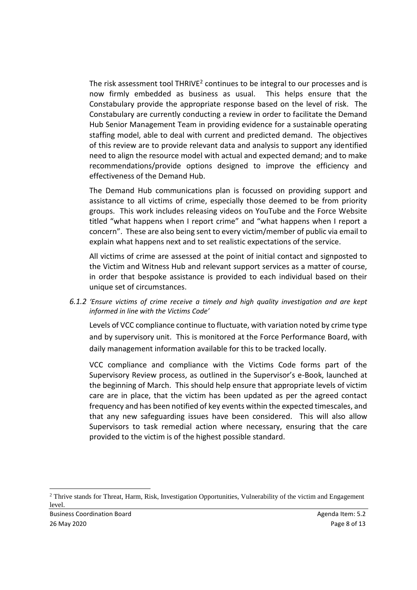The risk assessment tool THRIVE<sup>2</sup> continues to be integral to our processes and is now firmly embedded as business as usual. This helps ensure that the Constabulary provide the appropriate response based on the level of risk. The Constabulary are currently conducting a review in order to facilitate the Demand Hub Senior Management Team in providing evidence for a sustainable operating staffing model, able to deal with current and predicted demand. The objectives of this review are to provide relevant data and analysis to support any identified need to align the resource model with actual and expected demand; and to make recommendations/provide options designed to improve the efficiency and effectiveness of the Demand Hub.

The Demand Hub communications plan is focussed on providing support and assistance to all victims of crime, especially those deemed to be from priority groups. This work includes releasing videos on YouTube and the Force Website titled "what happens when I report crime" and "what happens when I report a concern". These are also being sent to every victim/member of public via email to explain what happens next and to set realistic expectations of the service.

All victims of crime are assessed at the point of initial contact and signposted to the Victim and Witness Hub and relevant support services as a matter of course, in order that bespoke assistance is provided to each individual based on their unique set of circumstances.

*6.1.2 'Ensure victims of crime receive a timely and high quality investigation and are kept informed in line with the Victims Code'*

Levels of VCC compliance continue to fluctuate, with variation noted by crime type and by supervisory unit. This is monitored at the Force Performance Board, with daily management information available for this to be tracked locally.

VCC compliance and compliance with the Victims Code forms part of the Supervisory Review process, as outlined in the Supervisor's e-Book, launched at the beginning of March. This should help ensure that appropriate levels of victim care are in place, that the victim has been updated as per the agreed contact frequency and has been notified of key events within the expected timescales, and that any new safeguarding issues have been considered. This will also allow Supervisors to task remedial action where necessary, ensuring that the care provided to the victim is of the highest possible standard.

 $\overline{\phantom{a}}$ 

<sup>&</sup>lt;sup>2</sup> Thrive stands for Threat, Harm, Risk, Investigation Opportunities, Vulnerability of the victim and Engagement level.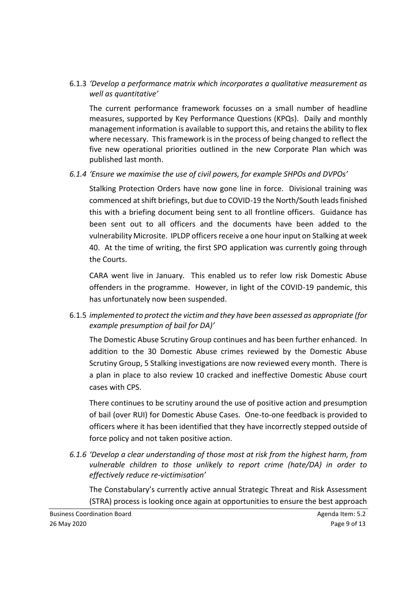# 6.1.3 *'Develop a performance matrix which incorporates a qualitative measurement as well as quantitative'*

The current performance framework focusses on a small number of headline measures, supported by Key Performance Questions (KPQs). Daily and monthly management information is available to support this, and retains the ability to flex where necessary. This framework is in the process of being changed to reflect the five new operational priorities outlined in the new Corporate Plan which was published last month.

# *6.1.4 'Ensure we maximise the use of civil powers, for example SHPOs and DVPOs'*

Stalking Protection Orders have now gone line in force. Divisional training was commenced at shift briefings, but due to COVID-19 the North/South leads finished this with a briefing document being sent to all frontline officers. Guidance has been sent out to all officers and the documents have been added to the vulnerability Microsite. IPLDP officers receive a one hour input on Stalking at week 40. At the time of writing, the first SPO application was currently going through the Courts.

CARA went live in January. This enabled us to refer low risk Domestic Abuse offenders in the programme. However, in light of the COVID-19 pandemic, this has unfortunately now been suspended.

# 6.1.5 *implemented to protect the victim and they have been assessed as appropriate (for example presumption of bail for DA)'*

The Domestic Abuse Scrutiny Group continues and has been further enhanced. In addition to the 30 Domestic Abuse crimes reviewed by the Domestic Abuse Scrutiny Group, 5 Stalking investigations are now reviewed every month. There is a plan in place to also review 10 cracked and ineffective Domestic Abuse court cases with CPS.

There continues to be scrutiny around the use of positive action and presumption of bail (over RUI) for Domestic Abuse Cases. One-to-one feedback is provided to officers where it has been identified that they have incorrectly stepped outside of force policy and not taken positive action.

*6.1.6 'Develop a clear understanding of those most at risk from the highest harm, from vulnerable children to those unlikely to report crime (hate/DA) in order to effectively reduce re-victimisation'*

The Constabulary's currently active annual Strategic Threat and Risk Assessment (STRA) process is looking once again at opportunities to ensure the best approach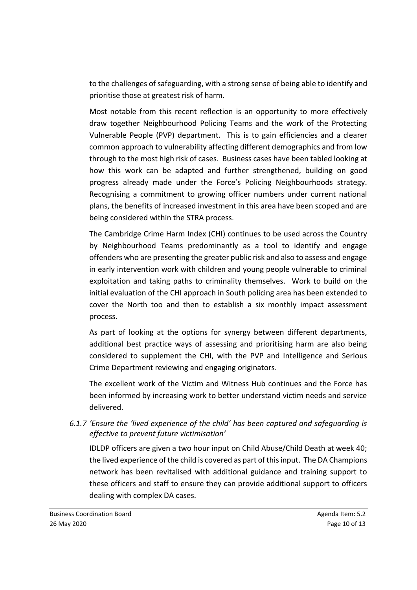to the challenges of safeguarding, with a strong sense of being able to identify and prioritise those at greatest risk of harm.

Most notable from this recent reflection is an opportunity to more effectively draw together Neighbourhood Policing Teams and the work of the Protecting Vulnerable People (PVP) department. This is to gain efficiencies and a clearer common approach to vulnerability affecting different demographics and from low through to the most high risk of cases. Business cases have been tabled looking at how this work can be adapted and further strengthened, building on good progress already made under the Force's Policing Neighbourhoods strategy. Recognising a commitment to growing officer numbers under current national plans, the benefits of increased investment in this area have been scoped and are being considered within the STRA process.

The Cambridge Crime Harm Index (CHI) continues to be used across the Country by Neighbourhood Teams predominantly as a tool to identify and engage offenders who are presenting the greater public risk and also to assess and engage in early intervention work with children and young people vulnerable to criminal exploitation and taking paths to criminality themselves. Work to build on the initial evaluation of the CHI approach in South policing area has been extended to cover the North too and then to establish a six monthly impact assessment process.

As part of looking at the options for synergy between different departments, additional best practice ways of assessing and prioritising harm are also being considered to supplement the CHI, with the PVP and Intelligence and Serious Crime Department reviewing and engaging originators.

The excellent work of the Victim and Witness Hub continues and the Force has been informed by increasing work to better understand victim needs and service delivered.

*6.1.7 'Ensure the 'lived experience of the child' has been captured and safeguarding is effective to prevent future victimisation'*

IDLDP officers are given a two hour input on Child Abuse/Child Death at week 40; the lived experience of the child is covered as part of this input. The DA Champions network has been revitalised with additional guidance and training support to these officers and staff to ensure they can provide additional support to officers dealing with complex DA cases.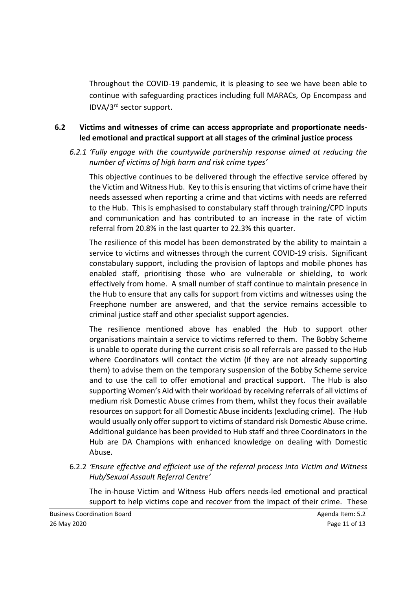Throughout the COVID-19 pandemic, it is pleasing to see we have been able to continue with safeguarding practices including full MARACs, Op Encompass and IDVA/3rd sector support.

### **6.2 Victims and witnesses of crime can access appropriate and proportionate needsled emotional and practical support at all stages of the criminal justice process**

*6.2.1 'Fully engage with the countywide partnership response aimed at reducing the number of victims of high harm and risk crime types'*

This objective continues to be delivered through the effective service offered by the Victim and Witness Hub. Key to this is ensuring that victims of crime have their needs assessed when reporting a crime and that victims with needs are referred to the Hub. This is emphasised to constabulary staff through training/CPD inputs and communication and has contributed to an increase in the rate of victim referral from 20.8% in the last quarter to 22.3% this quarter.

The resilience of this model has been demonstrated by the ability to maintain a service to victims and witnesses through the current COVID-19 crisis. Significant constabulary support, including the provision of laptops and mobile phones has enabled staff, prioritising those who are vulnerable or shielding, to work effectively from home. A small number of staff continue to maintain presence in the Hub to ensure that any calls for support from victims and witnesses using the Freephone number are answered, and that the service remains accessible to criminal justice staff and other specialist support agencies.

The resilience mentioned above has enabled the Hub to support other organisations maintain a service to victims referred to them. The Bobby Scheme is unable to operate during the current crisis so all referrals are passed to the Hub where Coordinators will contact the victim (if they are not already supporting them) to advise them on the temporary suspension of the Bobby Scheme service and to use the call to offer emotional and practical support. The Hub is also supporting Women's Aid with their workload by receiving referrals of all victims of medium risk Domestic Abuse crimes from them, whilst they focus their available resources on support for all Domestic Abuse incidents (excluding crime). The Hub would usually only offer support to victims of standard risk Domestic Abuse crime. Additional guidance has been provided to Hub staff and three Coordinators in the Hub are DA Champions with enhanced knowledge on dealing with Domestic Abuse.

6.2.2 *'Ensure effective and efficient use of the referral process into Victim and Witness Hub/Sexual Assault Referral Centre'*

The in-house Victim and Witness Hub offers needs-led emotional and practical support to help victims cope and recover from the impact of their crime. These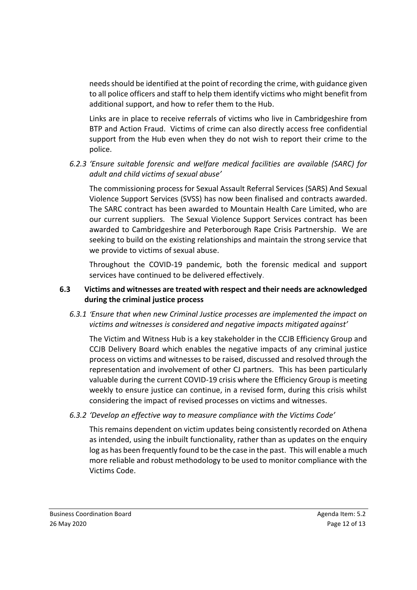needs should be identified at the point of recording the crime, with guidance given to all police officers and staff to help them identify victims who might benefit from additional support, and how to refer them to the Hub.

Links are in place to receive referrals of victims who live in Cambridgeshire from BTP and Action Fraud. Victims of crime can also directly access free confidential support from the Hub even when they do not wish to report their crime to the police.

*6.2.3 'Ensure suitable forensic and welfare medical facilities are available (SARC) for adult and child victims of sexual abuse'*

The commissioning process for Sexual Assault Referral Services (SARS) And Sexual Violence Support Services (SVSS) has now been finalised and contracts awarded. The SARC contract has been awarded to Mountain Health Care Limited, who are our current suppliers. The Sexual Violence Support Services contract has been awarded to Cambridgeshire and Peterborough Rape Crisis Partnership. We are seeking to build on the existing relationships and maintain the strong service that we provide to victims of sexual abuse.

Throughout the COVID-19 pandemic, both the forensic medical and support services have continued to be delivered effectively.

# **6.3 Victims and witnesses are treated with respect and their needs are acknowledged during the criminal justice process**

*6.3.1 'Ensure that when new Criminal Justice processes are implemented the impact on victims and witnesses is considered and negative impacts mitigated against'*

The Victim and Witness Hub is a key stakeholder in the CCJB Efficiency Group and CCJB Delivery Board which enables the negative impacts of any criminal justice process on victims and witnesses to be raised, discussed and resolved through the representation and involvement of other CJ partners. This has been particularly valuable during the current COVID-19 crisis where the Efficiency Group is meeting weekly to ensure justice can continue, in a revised form, during this crisis whilst considering the impact of revised processes on victims and witnesses.

*6.3.2 'Develop an effective way to measure compliance with the Victims Code'*

This remains dependent on victim updates being consistently recorded on Athena as intended, using the inbuilt functionality, rather than as updates on the enquiry log as has been frequently found to be the case in the past. This will enable a much more reliable and robust methodology to be used to monitor compliance with the Victims Code.